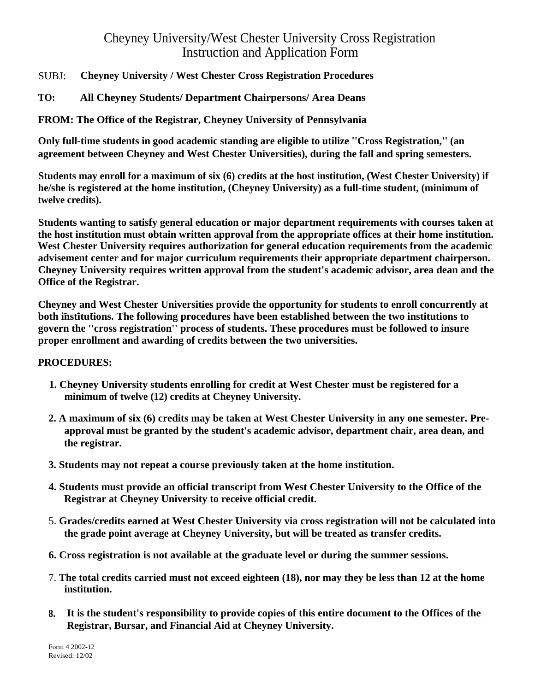# Cheyney University/West Chester University Cross Registration Instruction and Application Form

- SUBJ: **Cheyney University / West Chester Cross Registration Procedures**
- **TO: All Cheyney Students/ Department Chairpersons/ Area Deans**

**FROM: The Office of the Registrar, Cheyney University of Pennsylvania**

**Only full-time students in good academic standing are eligible to utilize ''Cross Registration,'' (an agreement between Cheyney and West Chester Universities), during the fall and spring semesters.**

**Students may enroll for a maximum of six (6) credits at the host institution, (West Chester University) if he/she is registered at the home institution, (Cheyney University) as a full-time student, (minimum of twelve credits).**

**Students wanting to satisfy general education or major department requirements with courses taken at the host institution must obtain written approval from the appropriate offices at their home institution. West Chester University requires authorization for general education requirements from the academic advisement center and for major curriculum requirements their appropriate department chairperson. Cheyney University requires written approval from the student's academic advisor, area dean and the Office of the Registrar.**

**Cheyney and West Chester Universities provide the opportunity for students to enroll concurrently at** ... **both institutions. The following procedures have been established between the two institutions to govern the ''cross registration'' process of students. These procedures must be followed to insure proper enrollment and awarding of credits between the two universities.**

#### **PROCEDURES:**

- **1. Cheyney University students enrolling for credit at West Chester must be registered for a minimum of twelve (12) credits at Cheyney University.**
- **2. A maximum of six (6) credits may be taken at West Chester University in any one semester. Preapproval must be granted by the student's academic advisor, department chair, area dean, and the registrar.**
- **3. Students may not repeat a course previously taken at the home institution.**
- **4. Students must provide an official transcript from West Chester University to the Office of the Registrar at Cheyney University to receive official credit.**
- 5. **Grades/credits earned at West Chester University via cross registration will not be calculated into the grade point average at Cheyney University, but will be treated as transfer credits.**
- **6. Cross registration is not available at the graduate level or during the summer sessions.**
- 7. **The total credits carried must not exceed eighteen (18), nor may they be less than 12 at the home institution.**
- **It is the student's responsibility to provide copies of this entire document to the Offices of the 8. Registrar, Bursar, and Financial Aid at Cheyney University.**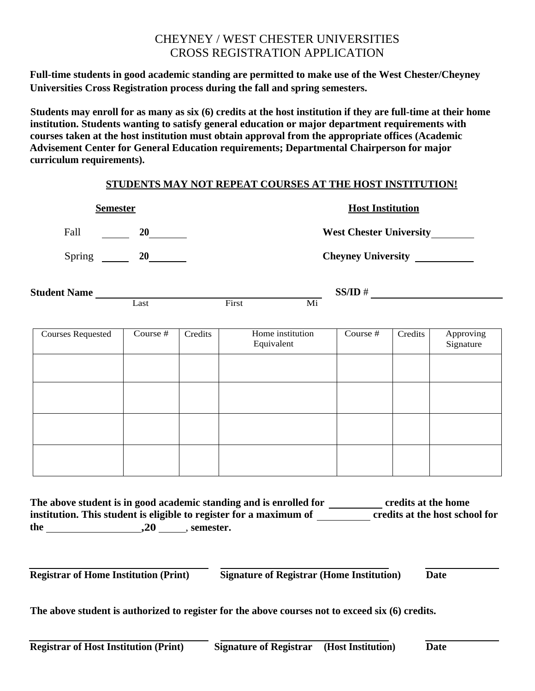### CHEYNEY / WEST CHESTER UNIVERSITIES CROSS REGISTRATION APPLICATION

**Full-time students in good academic standing are permitted to make use of the West Chester/Cheyney Universities Cross Registration process during the fall and spring semesters.**

**Students may enroll for as many as six (6) credits at the host institution if they are full-time at their home institution. Students wanting to satisfy general education or major department requirements with courses taken at the host institution must obtain approval from the appropriate offices (Academic Advisement Center for General Education requirements; Departmental Chairperson for major curriculum requirements).**

|                                                                                                                                                                                                          | <b>Semester</b> |         |                                   | <b>Host Institution</b> |          |         |                        |  |  |
|----------------------------------------------------------------------------------------------------------------------------------------------------------------------------------------------------------|-----------------|---------|-----------------------------------|-------------------------|----------|---------|------------------------|--|--|
| Fall 20                                                                                                                                                                                                  |                 |         | West Chester University_________  |                         |          |         |                        |  |  |
| $Spring \_\_\_\_$ 20                                                                                                                                                                                     |                 |         | Cheyney University ______________ |                         |          |         |                        |  |  |
| <b>Student Name</b><br>Last First                                                                                                                                                                        |                 |         | $SS/ID \#$                        |                         |          |         |                        |  |  |
|                                                                                                                                                                                                          |                 |         |                                   | $\overline{\text{Mi}}$  |          |         |                        |  |  |
| <b>Courses Requested</b>                                                                                                                                                                                 | Course #        | Credits | Equivalent                        | Home institution        | Course # | Credits | Approving<br>Signature |  |  |
|                                                                                                                                                                                                          |                 |         |                                   |                         |          |         |                        |  |  |
|                                                                                                                                                                                                          |                 |         |                                   |                         |          |         |                        |  |  |
|                                                                                                                                                                                                          |                 |         |                                   |                         |          |         |                        |  |  |
|                                                                                                                                                                                                          |                 |         |                                   |                         |          |         |                        |  |  |
|                                                                                                                                                                                                          |                 |         |                                   |                         |          |         |                        |  |  |
| The above student is in good academic standing and is enrolled for ____________ credits at the home<br>institution. This student is eligible to register for a maximum of credits at the host school for |                 |         |                                   |                         |          |         |                        |  |  |

**Registrar of Home Institution (Print) Signature of Registrar (Home Institution) Date**

**The above student is authorized to register for the above courses not to exceed six (6) credits.**